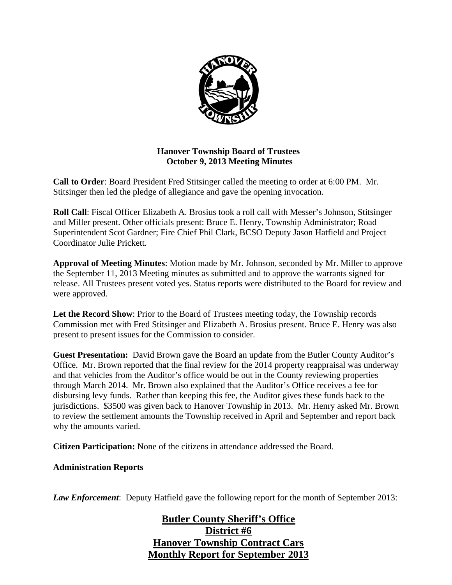

# **Hanover Township Board of Trustees October 9, 2013 Meeting Minutes**

**Call to Order**: Board President Fred Stitsinger called the meeting to order at 6:00 PM. Mr. Stitsinger then led the pledge of allegiance and gave the opening invocation.

**Roll Call**: Fiscal Officer Elizabeth A. Brosius took a roll call with Messer's Johnson, Stitsinger and Miller present. Other officials present: Bruce E. Henry, Township Administrator; Road Superintendent Scot Gardner; Fire Chief Phil Clark, BCSO Deputy Jason Hatfield and Project Coordinator Julie Prickett.

**Approval of Meeting Minutes**: Motion made by Mr. Johnson, seconded by Mr. Miller to approve the September 11, 2013 Meeting minutes as submitted and to approve the warrants signed for release. All Trustees present voted yes. Status reports were distributed to the Board for review and were approved.

**Let the Record Show**: Prior to the Board of Trustees meeting today, the Township records Commission met with Fred Stitsinger and Elizabeth A. Brosius present. Bruce E. Henry was also present to present issues for the Commission to consider.

**Guest Presentation:** David Brown gave the Board an update from the Butler County Auditor's Office. Mr. Brown reported that the final review for the 2014 property reappraisal was underway and that vehicles from the Auditor's office would be out in the County reviewing properties through March 2014. Mr. Brown also explained that the Auditor's Office receives a fee for disbursing levy funds. Rather than keeping this fee, the Auditor gives these funds back to the jurisdictions. \$3500 was given back to Hanover Township in 2013. Mr. Henry asked Mr. Brown to review the settlement amounts the Township received in April and September and report back why the amounts varied.

**Citizen Participation:** None of the citizens in attendance addressed the Board.

**Administration Reports** 

*Law Enforcement*: Deputy Hatfield gave the following report for the month of September 2013:

# **Butler County Sheriff's Office District #6 Hanover Township Contract Cars Monthly Report for September 2013**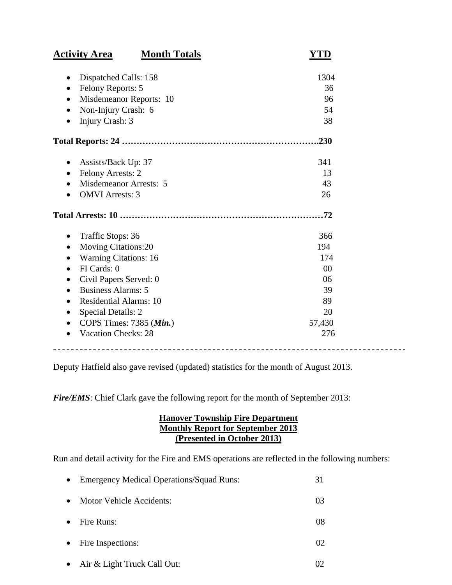| <b>Month Totals</b><br><b>Activity Area</b> | YTD            |
|---------------------------------------------|----------------|
| Dispatched Calls: 158                       | 1304           |
| Felony Reports: 5                           | 36             |
| Misdemeanor Reports: 10<br>$\bullet$        | 96             |
| Non-Injury Crash: 6                         | 54             |
| Injury Crash: 3                             | 38             |
|                                             | .230           |
| Assists/Back Up: 37                         | 341            |
| Felony Arrests: 2<br>٠                      | 13             |
| Misdemeanor Arrests: 5                      | 43             |
| <b>OMVI</b> Arrests: 3                      | 26             |
|                                             |                |
| Traffic Stops: 36                           | 366            |
| <b>Moving Citations:20</b>                  | 194            |
| <b>Warning Citations: 16</b>                | 174            |
| FI Cards: 0<br>$\bullet$                    | 0 <sub>0</sub> |
| Civil Papers Served: 0                      | 06             |
| <b>Business Alarms: 5</b><br>$\bullet$      | 39             |
| <b>Residential Alarms: 10</b><br>$\bullet$  | 89             |
| <b>Special Details: 2</b>                   | 20             |
| COPS Times: 7385 (Min.)                     | 57,430         |
| <b>Vacation Checks: 28</b>                  | 276            |
|                                             |                |

Deputy Hatfield also gave revised (updated) statistics for the month of August 2013.

*Fire/EMS*: Chief Clark gave the following report for the month of September 2013:

# **Hanover Township Fire Department Monthly Report for September 2013 (Presented in October 2013)**

Run and detail activity for the Fire and EMS operations are reflected in the following numbers:

| $\bullet$ | <b>Emergency Medical Operations/Squad Runs:</b> | 31 |
|-----------|-------------------------------------------------|----|
| $\bullet$ | Motor Vehicle Accidents:                        | 03 |
|           | Fire Runs:                                      | 08 |
|           | • Fire Inspections:                             | 02 |
|           | Air & Light Truck Call Out:                     |    |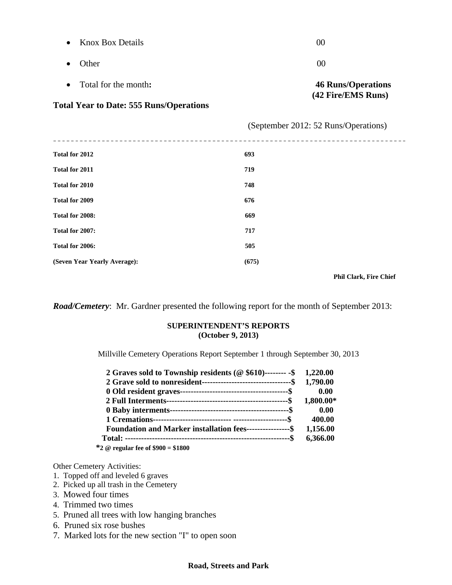| <b>Knox Box Details</b><br>$\bullet$           | 00                                   |
|------------------------------------------------|--------------------------------------|
| Other<br>٠                                     | 00                                   |
| Total for the month:<br>$\bullet$              | <b>46 Runs/Operations</b>            |
| <b>Total Year to Date: 555 Runs/Operations</b> | (42 Fire/EMS Runs)                   |
|                                                | (September 2012: 52 Runs/Operations) |
| <b>Total for 2012</b>                          | 693                                  |
| Total for 2011                                 | 719                                  |
| Total for 2010                                 | 748                                  |
| Total for 2009                                 | 676                                  |
| Total for 2008:                                | 669                                  |
| Total for 2007:                                | 717                                  |
| Total for 2006:                                | 505                                  |
| (Seven Year Yearly Average):                   | (675)                                |

 **Phil Clark, Fire Chief** 

*Road/Cemetery*: Mr. Gardner presented the following report for the month of September 2013:

## **SUPERINTENDENT'S REPORTS (October 9, 2013)**

Millville Cemetery Operations Report September 1 through September 30, 2013

| 2 Graves sold to Township residents ( $@$ \$610)-------- $\$$ 1,220.00                                                                                                                                                                                                                                            |           |
|-------------------------------------------------------------------------------------------------------------------------------------------------------------------------------------------------------------------------------------------------------------------------------------------------------------------|-----------|
|                                                                                                                                                                                                                                                                                                                   |           |
|                                                                                                                                                                                                                                                                                                                   | 0.00      |
|                                                                                                                                                                                                                                                                                                                   | 1,800.00* |
|                                                                                                                                                                                                                                                                                                                   | 0.00      |
|                                                                                                                                                                                                                                                                                                                   | 400.00    |
| <b>Foundation and Marker installation fees-----------------\$</b>                                                                                                                                                                                                                                                 | 1,156.00  |
|                                                                                                                                                                                                                                                                                                                   | 6,366.00  |
| $\mathcal{P}$ and $\mathcal{P}$ and $\mathcal{P}$ and $\mathcal{P}$ and $\mathcal{P}$ and $\mathcal{P}$ and $\mathcal{P}$ and $\mathcal{P}$ and $\mathcal{P}$ and $\mathcal{P}$ and $\mathcal{P}$ and $\mathcal{P}$ and $\mathcal{P}$ and $\mathcal{P}$ and $\mathcal{P}$ and $\mathcal{P}$ and $\mathcal{P}$ and |           |

 **\*2 @ regular fee of \$900 = \$1800** 

Other Cemetery Activities:

- 1. Topped off and leveled 6 graves
- 2. Picked up all trash in the Cemetery
- 3. Mowed four times
- 4. Trimmed two times
- 5. Pruned all trees with low hanging branches
- 6. Pruned six rose bushes
- 7. Marked lots for the new section "I" to open soon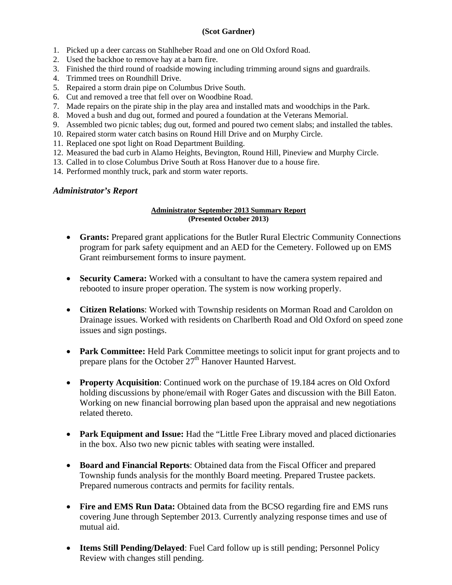### **(Scot Gardner)**

- 1. Picked up a deer carcass on Stahlheber Road and one on Old Oxford Road.
- 2. Used the backhoe to remove hay at a barn fire.
- 3. Finished the third round of roadside mowing including trimming around signs and guardrails.
- 4. Trimmed trees on Roundhill Drive.
- 5. Repaired a storm drain pipe on Columbus Drive South.
- 6. Cut and removed a tree that fell over on Woodbine Road.
- 7. Made repairs on the pirate ship in the play area and installed mats and woodchips in the Park.
- 8. Moved a bush and dug out, formed and poured a foundation at the Veterans Memorial.
- 9. Assembled two picnic tables; dug out, formed and poured two cement slabs; and installed the tables.
- 10. Repaired storm water catch basins on Round Hill Drive and on Murphy Circle.
- 11. Replaced one spot light on Road Department Building.
- 12. Measured the bad curb in Alamo Heights, Bevington, Round Hill, Pineview and Murphy Circle.
- 13. Called in to close Columbus Drive South at Ross Hanover due to a house fire.
- 14. Performed monthly truck, park and storm water reports.

## *Administrator's Report*

#### **Administrator September 2013 Summary Report (Presented October 2013)**

- **Grants:** Prepared grant applications for the Butler Rural Electric Community Connections program for park safety equipment and an AED for the Cemetery. Followed up on EMS Grant reimbursement forms to insure payment.
- **Security Camera:** Worked with a consultant to have the camera system repaired and rebooted to insure proper operation. The system is now working properly.
- **Citizen Relations**: Worked with Township residents on Morman Road and Caroldon on Drainage issues. Worked with residents on Charlberth Road and Old Oxford on speed zone issues and sign postings.
- **Park Committee:** Held Park Committee meetings to solicit input for grant projects and to prepare plans for the October 27<sup>th</sup> Hanover Haunted Harvest.
- **Property Acquisition**: Continued work on the purchase of 19.184 acres on Old Oxford holding discussions by phone/email with Roger Gates and discussion with the Bill Eaton. Working on new financial borrowing plan based upon the appraisal and new negotiations related thereto.
- **Park Equipment and Issue:** Had the "Little Free Library moved and placed dictionaries in the box. Also two new picnic tables with seating were installed.
- **Board and Financial Reports**: Obtained data from the Fiscal Officer and prepared Township funds analysis for the monthly Board meeting. Prepared Trustee packets. Prepared numerous contracts and permits for facility rentals.
- Fire and EMS Run Data: Obtained data from the BCSO regarding fire and EMS runs covering June through September 2013. Currently analyzing response times and use of mutual aid.
- **Items Still Pending/Delayed**: Fuel Card follow up is still pending; Personnel Policy Review with changes still pending.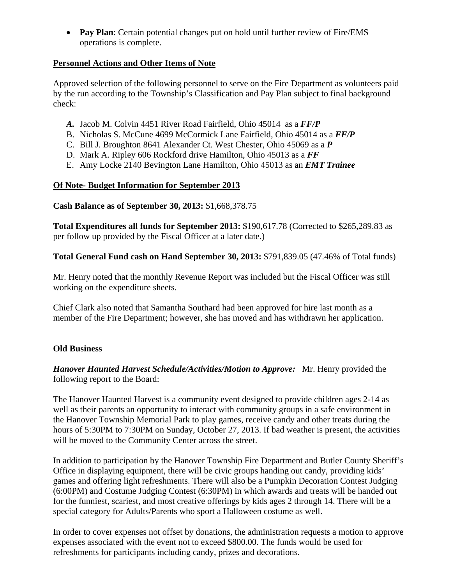**Pay Plan**: Certain potential changes put on hold until further review of Fire/EMS operations is complete.

# **Personnel Actions and Other Items of Note**

Approved selection of the following personnel to serve on the Fire Department as volunteers paid by the run according to the Township's Classification and Pay Plan subject to final background check:

- *A.* Jacob M. Colvin 4451 River Road Fairfield, Ohio 45014 as a *FF/P*
- B. Nicholas S. McCune 4699 McCormick Lane Fairfield, Ohio 45014 as a *FF/P*
- C. Bill J. Broughton 8641 Alexander Ct. West Chester, Ohio 45069 as a *P*
- D. Mark A. Ripley 606 Rockford drive Hamilton, Ohio 45013 as a *FF*
- E. Amy Locke 2140 Bevington Lane Hamilton, Ohio 45013 as an *EMT Trainee*

# **Of Note- Budget Information for September 2013**

## **Cash Balance as of September 30, 2013:** \$1,668,378.75

**Total Expenditures all funds for September 2013:** \$190,617.78 (Corrected to \$265,289.83 as per follow up provided by the Fiscal Officer at a later date.)

**Total General Fund cash on Hand September 30, 2013:** \$791,839.05 (47.46% of Total funds)

Mr. Henry noted that the monthly Revenue Report was included but the Fiscal Officer was still working on the expenditure sheets.

Chief Clark also noted that Samantha Southard had been approved for hire last month as a member of the Fire Department; however, she has moved and has withdrawn her application.

# **Old Business**

*Hanover Haunted Harvest Schedule/Activities/Motion to Approve:* Mr. Henry provided the following report to the Board:

The Hanover Haunted Harvest is a community event designed to provide children ages 2-14 as well as their parents an opportunity to interact with community groups in a safe environment in the Hanover Township Memorial Park to play games, receive candy and other treats during the hours of 5:30PM to 7:30PM on Sunday, October 27, 2013. If bad weather is present, the activities will be moved to the Community Center across the street.

In addition to participation by the Hanover Township Fire Department and Butler County Sheriff's Office in displaying equipment, there will be civic groups handing out candy, providing kids' games and offering light refreshments. There will also be a Pumpkin Decoration Contest Judging (6:00PM) and Costume Judging Contest (6:30PM) in which awards and treats will be handed out for the funniest, scariest, and most creative offerings by kids ages 2 through 14. There will be a special category for Adults/Parents who sport a Halloween costume as well.

In order to cover expenses not offset by donations, the administration requests a motion to approve expenses associated with the event not to exceed \$800.00. The funds would be used for refreshments for participants including candy, prizes and decorations.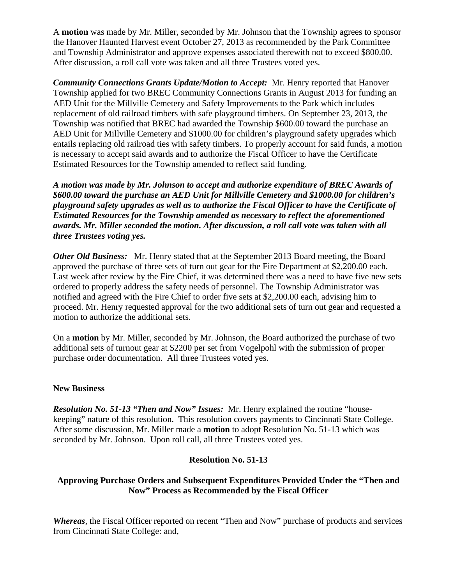A **motion** was made by Mr. Miller, seconded by Mr. Johnson that the Township agrees to sponsor the Hanover Haunted Harvest event October 27, 2013 as recommended by the Park Committee and Township Administrator and approve expenses associated therewith not to exceed \$800.00. After discussion, a roll call vote was taken and all three Trustees voted yes.

*Community Connections Grants Update/Motion to Accept:* Mr. Henry reported that Hanover Township applied for two BREC Community Connections Grants in August 2013 for funding an AED Unit for the Millville Cemetery and Safety Improvements to the Park which includes replacement of old railroad timbers with safe playground timbers. On September 23, 2013, the Township was notified that BREC had awarded the Township \$600.00 toward the purchase an AED Unit for Millville Cemetery and \$1000.00 for children's playground safety upgrades which entails replacing old railroad ties with safety timbers. To properly account for said funds, a motion is necessary to accept said awards and to authorize the Fiscal Officer to have the Certificate Estimated Resources for the Township amended to reflect said funding.

*A motion was made by Mr. Johnson to accept and authorize expenditure of BREC Awards of \$600.00 toward the purchase an AED Unit for Millville Cemetery and \$1000.00 for children's playground safety upgrades as well as to authorize the Fiscal Officer to have the Certificate of Estimated Resources for the Township amended as necessary to reflect the aforementioned awards. Mr. Miller seconded the motion. After discussion, a roll call vote was taken with all three Trustees voting yes.* 

*Other Old Business:* Mr. Henry stated that at the September 2013 Board meeting, the Board approved the purchase of three sets of turn out gear for the Fire Department at \$2,200.00 each. Last week after review by the Fire Chief, it was determined there was a need to have five new sets ordered to properly address the safety needs of personnel. The Township Administrator was notified and agreed with the Fire Chief to order five sets at \$2,200.00 each, advising him to proceed. Mr. Henry requested approval for the two additional sets of turn out gear and requested a motion to authorize the additional sets.

On a **motion** by Mr. Miller, seconded by Mr. Johnson, the Board authorized the purchase of two additional sets of turnout gear at \$2200 per set from Vogelpohl with the submission of proper purchase order documentation. All three Trustees voted yes.

## **New Business**

*Resolution No. 51-13 "Then and Now" Issues:* Mr. Henry explained the routine "housekeeping" nature of this resolution. This resolution covers payments to Cincinnati State College. After some discussion, Mr. Miller made a **motion** to adopt Resolution No. 51-13 which was seconded by Mr. Johnson. Upon roll call, all three Trustees voted yes.

## **Resolution No. 51-13**

# **Approving Purchase Orders and Subsequent Expenditures Provided Under the "Then and Now" Process as Recommended by the Fiscal Officer**

*Whereas*, the Fiscal Officer reported on recent "Then and Now" purchase of products and services from Cincinnati State College: and,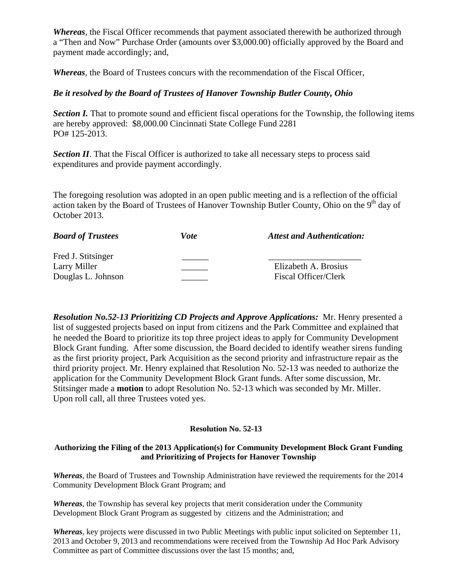*Whereas*, the Fiscal Officer recommends that payment associated therewith be authorized through a "Then and Now" Purchase Order (amounts over \$3,000.00) officially approved by the Board and payment made accordingly; and,

*Whereas*, the Board of Trustees concurs with the recommendation of the Fiscal Officer,

## *Be it resolved by the Board of Trustees of Hanover Township Butler County, Ohio*

*Section I.* That to promote sound and efficient fiscal operations for the Township, the following items are hereby approved: \$8,000.00 Cincinnati State College Fund 2281 PO# 125-2013.

**Section II**. That the Fiscal Officer is authorized to take all necessary steps to process said expenditures and provide payment accordingly.

The foregoing resolution was adopted in an open public meeting and is a reflection of the official action taken by the Board of Trustees of Hanover Township Butler County, Ohio on the  $9<sup>th</sup>$  day of October 2013.

| <b>Board of Trustees</b> | Vote | <b>Attest and Authentication:</b> |
|--------------------------|------|-----------------------------------|
| Fred J. Stitsinger       |      |                                   |
| Larry Miller             |      | Elizabeth A. Brosius              |
| Douglas L. Johnson       |      | Fiscal Officer/Clerk              |

*Resolution No.52-13 Prioritizing CD Projects and Approve Applications:* Mr. Henry presented a list of suggested projects based on input from citizens and the Park Committee and explained that he needed the Board to prioritize its top three project ideas to apply for Community Development Block Grant funding. After some discussion, the Board decided to identify weather sirens funding as the first priority project, Park Acquisition as the second priority and infrastructure repair as the third priority project. Mr. Henry explained that Resolution No. 52-13 was needed to authorize the application for the Community Development Block Grant funds. After some discussion, Mr. Stitsinger made a **motion** to adopt Resolution No. 52-13 which was seconded by Mr. Miller. Upon roll call, all three Trustees voted yes.

### **Resolution No. 52-13**

### **Authorizing the Filing of the 2013 Application(s) for Community Development Block Grant Funding and Prioritizing of Projects for Hanover Township**

*Whereas*, the Board of Trustees and Township Administration have reviewed the requirements for the 2014 Community Development Block Grant Program; and

*Whereas*, the Township has several key projects that merit consideration under the Community Development Block Grant Program as suggested by citizens and the Administration; and

*Whereas*, key projects were discussed in two Public Meetings with public input solicited on September 11, 2013 and October 9, 2013 and recommendations were received from the Township Ad Hoc Park Advisory Committee as part of Committee discussions over the last 15 months; and,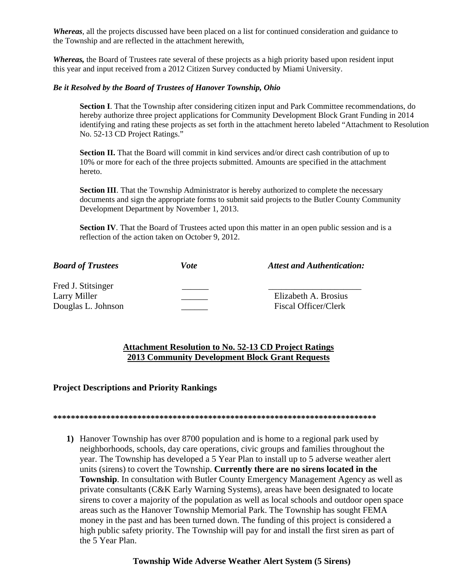*Whereas*, all the projects discussed have been placed on a list for continued consideration and guidance to the Township and are reflected in the attachment herewith,

*Whereas,* the Board of Trustees rate several of these projects as a high priority based upon resident input this year and input received from a 2012 Citizen Survey conducted by Miami University.

### *Be it Resolved by the Board of Trustees of Hanover Township, Ohio*

**Section I**. That the Township after considering citizen input and Park Committee recommendations, do hereby authorize three project applications for Community Development Block Grant Funding in 2014 identifying and rating these projects as set forth in the attachment hereto labeled "Attachment to Resolution No. 52-13 CD Project Ratings."

**Section II.** That the Board will commit in kind services and/or direct cash contribution of up to 10% or more for each of the three projects submitted. Amounts are specified in the attachment hereto.

**Section III**. That the Township Administrator is hereby authorized to complete the necessary documents and sign the appropriate forms to submit said projects to the Butler County Community Development Department by November 1, 2013.

Section IV. That the Board of Trustees acted upon this matter in an open public session and is a reflection of the action taken on October 9, 2012.

| <b>Board of Trustees</b> | Vote | <b>Attest and Authentication:</b> |
|--------------------------|------|-----------------------------------|
| Fred J. Stitsinger       |      |                                   |
| Larry Miller             |      | Elizabeth A. Brosius              |
| Douglas L. Johnson       |      | <b>Fiscal Officer/Clerk</b>       |

## **Attachment Resolution to No. 52-13 CD Project Ratings 2013 Community Development Block Grant Requests**

### **Project Descriptions and Priority Rankings**

**\*\*\*\*\*\*\*\*\*\*\*\*\*\*\*\*\*\*\*\*\*\*\*\*\*\*\*\*\*\*\*\*\*\*\*\*\*\*\*\*\*\*\*\*\*\*\*\*\*\*\*\*\*\*\*\*\*\*\*\*\*\*\*\*\*\*\*\*\*\*\*\*\*** 

**1)** Hanover Township has over 8700 population and is home to a regional park used by neighborhoods, schools, day care operations, civic groups and families throughout the year. The Township has developed a 5 Year Plan to install up to 5 adverse weather alert units (sirens) to covert the Township. **Currently there are no sirens located in the Township**. In consultation with Butler County Emergency Management Agency as well as private consultants (C&K Early Warning Systems), areas have been designated to locate sirens to cover a majority of the population as well as local schools and outdoor open space areas such as the Hanover Township Memorial Park. The Township has sought FEMA money in the past and has been turned down. The funding of this project is considered a high public safety priority. The Township will pay for and install the first siren as part of the 5 Year Plan.

**Township Wide Adverse Weather Alert System (5 Sirens)**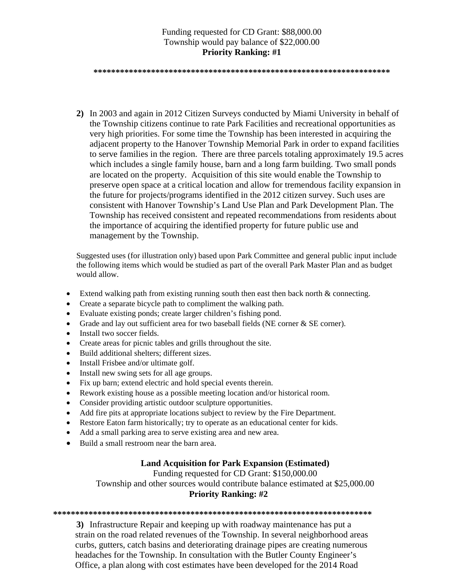## Funding requested for CD Grant: \$88,000.00 Township would pay balance of \$22,000.00 **Priority Ranking: #1**

**\*\*\*\*\*\*\*\*\*\*\*\*\*\*\*\*\*\*\*\*\*\*\*\*\*\*\*\*\*\*\*\*\*\*\*\*\*\*\*\*\*\*\*\*\*\*\*\*\*\*\*\*\*\*\*\*\*\*\*\*\*\*\*\*\*\*\*** 

**2)** In 2003 and again in 2012 Citizen Surveys conducted by Miami University in behalf of the Township citizens continue to rate Park Facilities and recreational opportunities as very high priorities. For some time the Township has been interested in acquiring the adjacent property to the Hanover Township Memorial Park in order to expand facilities to serve families in the region. There are three parcels totaling approximately 19.5 acres which includes a single family house, barn and a long farm building. Two small ponds are located on the property. Acquisition of this site would enable the Township to preserve open space at a critical location and allow for tremendous facility expansion in the future for projects/programs identified in the 2012 citizen survey. Such uses are consistent with Hanover Township's Land Use Plan and Park Development Plan. The Township has received consistent and repeated recommendations from residents about the importance of acquiring the identified property for future public use and management by the Township.

Suggested uses (for illustration only) based upon Park Committee and general public input include the following items which would be studied as part of the overall Park Master Plan and as budget would allow.

- Extend walking path from existing running south then east then back north  $&$  connecting.
- Create a separate bicycle path to compliment the walking path.
- Evaluate existing ponds; create larger children's fishing pond.
- Grade and lay out sufficient area for two baseball fields (NE corner & SE corner).
- Install two soccer fields.
- Create areas for picnic tables and grills throughout the site.
- Build additional shelters; different sizes.
- Install Frisbee and/or ultimate golf.
- Install new swing sets for all age groups.
- Fix up barn; extend electric and hold special events therein.
- Rework existing house as a possible meeting location and/or historical room.
- Consider providing artistic outdoor sculpture opportunities.
- Add fire pits at appropriate locations subject to review by the Fire Department.
- Restore Eaton farm historically; try to operate as an educational center for kids.
- Add a small parking area to serve existing area and new area.
- Build a small restroom near the barn area.

## **Land Acquisition for Park Expansion (Estimated)**

Funding requested for CD Grant: \$150,000.00

Township and other sources would contribute balance estimated at \$25,000.00 **Priority Ranking: #2** 

**\*\*\*\*\*\*\*\*\*\*\*\*\*\*\*\*\*\*\*\*\*\*\*\*\*\*\*\*\*\*\*\*\*\*\*\*\*\*\*\*\*\*\*\*\*\*\*\*\*\*\*\*\*\*\*\*\*\*\*\*\*\*\*\*\*\*\*\*\*\*\*\*** 

**3)** Infrastructure Repair and keeping up with roadway maintenance has put a strain on the road related revenues of the Township. In several neighborhood areas curbs, gutters, catch basins and deteriorating drainage pipes are creating numerous headaches for the Township. In consultation with the Butler County Engineer's Office, a plan along with cost estimates have been developed for the 2014 Road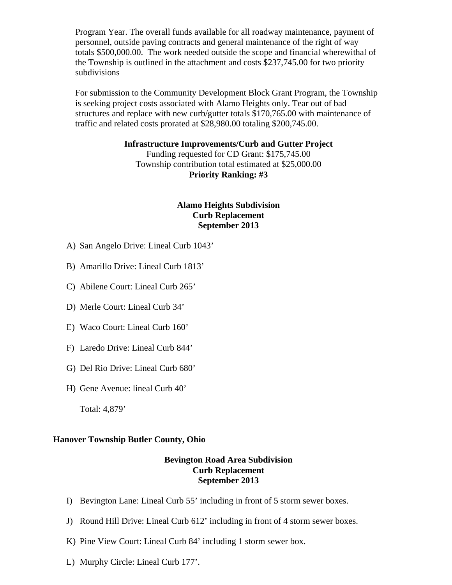Program Year. The overall funds available for all roadway maintenance, payment of personnel, outside paving contracts and general maintenance of the right of way totals \$500,000.00. The work needed outside the scope and financial wherewithal of the Township is outlined in the attachment and costs \$237,745.00 for two priority subdivisions

 For submission to the Community Development Block Grant Program, the Township is seeking project costs associated with Alamo Heights only. Tear out of bad structures and replace with new curb/gutter totals \$170,765.00 with maintenance of traffic and related costs prorated at \$28,980.00 totaling \$200,745.00.

## **Infrastructure Improvements/Curb and Gutter Project**

Funding requested for CD Grant: \$175,745.00 Township contribution total estimated at \$25,000.00 **Priority Ranking: #3** 

## **Alamo Heights Subdivision Curb Replacement September 2013**

- A) San Angelo Drive: Lineal Curb 1043'
- B) Amarillo Drive: Lineal Curb 1813'
- C) Abilene Court: Lineal Curb 265'
- D) Merle Court: Lineal Curb 34'
- E) Waco Court: Lineal Curb 160'
- F) Laredo Drive: Lineal Curb 844'
- G) Del Rio Drive: Lineal Curb 680'
- H) Gene Avenue: lineal Curb 40'

Total: 4,879'

## **Hanover Township Butler County, Ohio**

### **Bevington Road Area Subdivision Curb Replacement September 2013**

- I) Bevington Lane: Lineal Curb 55' including in front of 5 storm sewer boxes.
- J) Round Hill Drive: Lineal Curb 612' including in front of 4 storm sewer boxes.
- K) Pine View Court: Lineal Curb 84' including 1 storm sewer box.
- L) Murphy Circle: Lineal Curb 177'.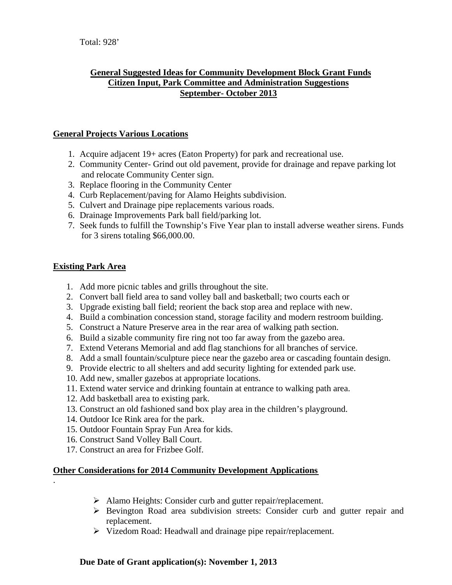# **General Suggested Ideas for Community Development Block Grant Funds Citizen Input, Park Committee and Administration Suggestions September- October 2013**

## **General Projects Various Locations**

- 1. Acquire adjacent 19+ acres (Eaton Property) for park and recreational use.
- 2. Community Center- Grind out old pavement, provide for drainage and repave parking lot and relocate Community Center sign.
- 3. Replace flooring in the Community Center
- 4. Curb Replacement/paving for Alamo Heights subdivision.
- 5. Culvert and Drainage pipe replacements various roads.
- 6. Drainage Improvements Park ball field/parking lot.
- 7. Seek funds to fulfill the Township's Five Year plan to install adverse weather sirens. Funds for 3 sirens totaling \$66,000.00.

## **Existing Park Area**

.

- 1. Add more picnic tables and grills throughout the site.
- 2. Convert ball field area to sand volley ball and basketball; two courts each or
- 3. Upgrade existing ball field; reorient the back stop area and replace with new.
- 4. Build a combination concession stand, storage facility and modern restroom building.
- 5. Construct a Nature Preserve area in the rear area of walking path section.
- 6. Build a sizable community fire ring not too far away from the gazebo area.
- 7. Extend Veterans Memorial and add flag stanchions for all branches of service.
- 8. Add a small fountain/sculpture piece near the gazebo area or cascading fountain design.
- 9. Provide electric to all shelters and add security lighting for extended park use.
- 10. Add new, smaller gazebos at appropriate locations.
- 11. Extend water service and drinking fountain at entrance to walking path area.
- 12. Add basketball area to existing park.
- 13. Construct an old fashioned sand box play area in the children's playground.
- 14. Outdoor Ice Rink area for the park.
- 15. Outdoor Fountain Spray Fun Area for kids.
- 16. Construct Sand Volley Ball Court.
- 17. Construct an area for Frizbee Golf.

# **Other Considerations for 2014 Community Development Applications**

- Alamo Heights: Consider curb and gutter repair/replacement.
- Bevington Road area subdivision streets: Consider curb and gutter repair and replacement.
- Vizedom Road: Headwall and drainage pipe repair/replacement.

## **Due Date of Grant application(s): November 1, 2013**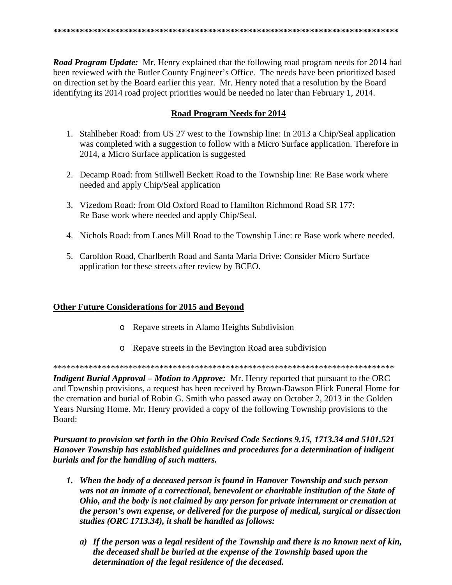**Road Program Update:** Mr. Henry explained that the following road program needs for 2014 had been reviewed with the Butler County Engineer's Office. The needs have been prioritized based on direction set by the Board earlier this year. Mr. Henry noted that a resolution by the Board identifying its 2014 road project priorities would be needed no later than February 1, 2014.

## **Road Program Needs for 2014**

- 1. Stahlheber Road: from US 27 west to the Township line: In 2013 a Chip/Seal application was completed with a suggestion to follow with a Micro Surface application. Therefore in 2014, a Micro Surface application is suggested
- 2. Decamp Road: from Stillwell Beckett Road to the Township line: Re Base work where needed and apply Chip/Seal application
- 3. Vizedom Road: from Old Oxford Road to Hamilton Richmond Road SR 177: Re Base work where needed and apply Chip/Seal.
- 4. Nichols Road: from Lanes Mill Road to the Township Line: re Base work where needed.
- 5. Caroldon Road, Charlberth Road and Santa Maria Drive: Consider Micro Surface application for these streets after review by BCEO.

## **Other Future Considerations for 2015 and Beyond**

- o Repave streets in Alamo Heights Subdivision
- o Repave streets in the Bevington Road area subdivision

**Indigent Burial Approval – Motion to Approve:** Mr. Henry reported that pursuant to the ORC and Township provisions, a request has been received by Brown-Dawson Flick Funeral Home for the cremation and burial of Robin G. Smith who passed away on October 2, 2013 in the Golden Years Nursing Home. Mr. Henry provided a copy of the following Township provisions to the Board:

Pursuant to provision set forth in the Ohio Revised Code Sections 9.15, 1713.34 and 5101.521 Hanover Township has established guidelines and procedures for a determination of indigent burials and for the handling of such matters.

- 1. When the body of a deceased person is found in Hanover Township and such person was not an inmate of a correctional, benevolent or charitable institution of the State of Ohio, and the body is not claimed by any person for private internment or cremation at the person's own expense, or delivered for the purpose of medical, surgical or dissection studies (ORC 1713.34), it shall be handled as follows:
	- a) If the person was a legal resident of the Township and there is no known next of kin, the deceased shall be buried at the expense of the Township based upon the determination of the legal residence of the deceased.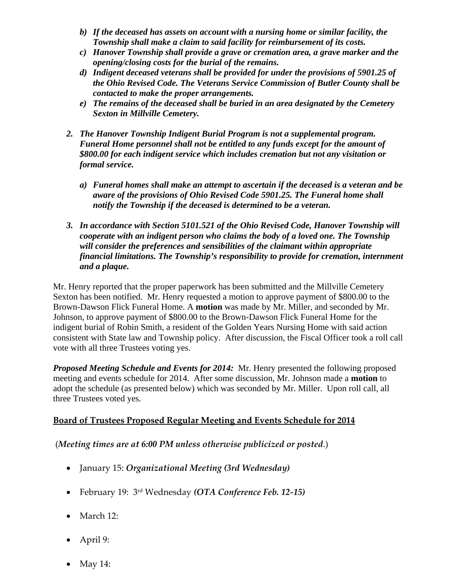- *b) If the deceased has assets on account with a nursing home or similar facility, the Township shall make a claim to said facility for reimbursement of its costs.*
- *c) Hanover Township shall provide a grave or cremation area, a grave marker and the opening/closing costs for the burial of the remains.*
- *d) Indigent deceased veterans shall be provided for under the provisions of 5901.25 of the Ohio Revised Code. The Veterans Service Commission of Butler County shall be contacted to make the proper arrangements.*
- *e) The remains of the deceased shall be buried in an area designated by the Cemetery Sexton in Millville Cemetery.*
- *2. The Hanover Township Indigent Burial Program is not a supplemental program. Funeral Home personnel shall not be entitled to any funds except for the amount of \$800.00 for each indigent service which includes cremation but not any visitation or formal service.* 
	- *a) Funeral homes shall make an attempt to ascertain if the deceased is a veteran and be aware of the provisions of Ohio Revised Code 5901.25. The Funeral home shall notify the Township if the deceased is determined to be a veteran.*
- *3. In accordance with Section 5101.521 of the Ohio Revised Code, Hanover Township will cooperate with an indigent person who claims the body of a loved one. The Township will consider the preferences and sensibilities of the claimant within appropriate financial limitations. The Township's responsibility to provide for cremation, internment and a plaque.*

Mr. Henry reported that the proper paperwork has been submitted and the Millville Cemetery Sexton has been notified. Mr. Henry requested a motion to approve payment of \$800.00 to the Brown-Dawson Flick Funeral Home. A **motion** was made by Mr. Miller, and seconded by Mr. Johnson, to approve payment of \$800.00 to the Brown-Dawson Flick Funeral Home for the indigent burial of Robin Smith, a resident of the Golden Years Nursing Home with said action consistent with State law and Township policy. After discussion, the Fiscal Officer took a roll call vote with all three Trustees voting yes.

*Proposed Meeting Schedule and Events for 2014:* Mr. Henry presented the following proposed meeting and events schedule for 2014. After some discussion, Mr. Johnson made a **motion** to adopt the schedule (as presented below) which was seconded by Mr. Miller. Upon roll call, all three Trustees voted yes.

# **Board of Trustees Proposed Regular Meeting and Events Schedule for 2014**

# (*Meeting times are at 6:00 PM unless otherwise publicized or posted*.)

- January 15: *Organizational Meeting (3rd Wednesday)*
- February 19: 3rd Wednesday *(OTA Conference Feb. 12‐15)*
- March 12:
- April 9:
- May 14: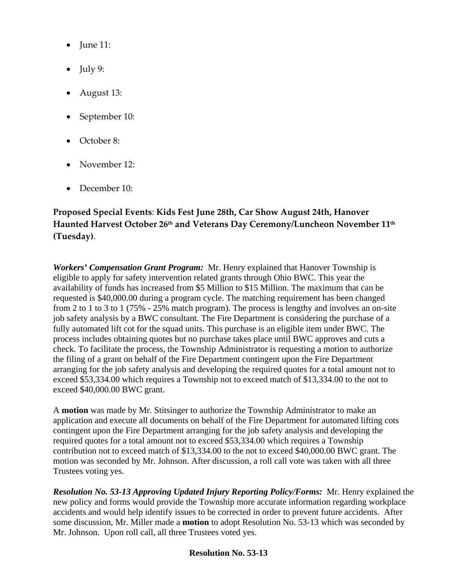- $\bullet$  June 11:
- $\bullet$  July 9:
- August 13:
- September 10:
- October 8:
- November 12·
- December 10:

# **Proposed Special Events**: **Kids Fest June 28th, Car Show August 24th, Hanover Haunted Harvest October 26th and Veterans Day Ceremony/Luncheon November 11th (Tuesday)**.

*Workers' Compensation Grant Program:* Mr. Henry explained that Hanover Township is eligible to apply for safety intervention related grants through Ohio BWC. This year the availability of funds has increased from \$5 Million to \$15 Million. The maximum that can be requested is \$40,000.00 during a program cycle. The matching requirement has been changed from 2 to 1 to 3 to 1 (75% - 25% match program). The process is lengthy and involves an on-site job safety analysis by a BWC consultant. The Fire Department is considering the purchase of a fully automated lift cot for the squad units. This purchase is an eligible item under BWC. The process includes obtaining quotes but no purchase takes place until BWC approves and cuts a check. To facilitate the process, the Township Administrator is requesting a motion to authorize the filing of a grant on behalf of the Fire Department contingent upon the Fire Department arranging for the job safety analysis and developing the required quotes for a total amount not to exceed \$53,334.00 which requires a Township not to exceed match of \$13,334.00 to the not to exceed \$40,000.00 BWC grant.

A **motion** was made by Mr. Stitsinger to authorize the Township Administrator to make an application and execute all documents on behalf of the Fire Department for automated lifting cots contingent upon the Fire Department arranging for the job safety analysis and developing the required quotes for a total amount not to exceed \$53,334.00 which requires a Township contribution not to exceed match of \$13,334.00 to the not to exceed \$40,000.00 BWC grant. The motion was seconded by Mr. Johnson. After discussion, a roll call vote was taken with all three Trustees voting yes.

*Resolution No. 53-13 Approving Updated Injury Reporting Policy/Forms:* Mr. Henry explained the new policy and forms would provide the Township more accurate information regarding workplace accidents and would help identify issues to be corrected in order to prevent future accidents. After some discussion, Mr. Miller made a **motion** to adopt Resolution No. 53-13 which was seconded by Mr. Johnson. Upon roll call, all three Trustees voted yes.

# **Resolution No. 53-13**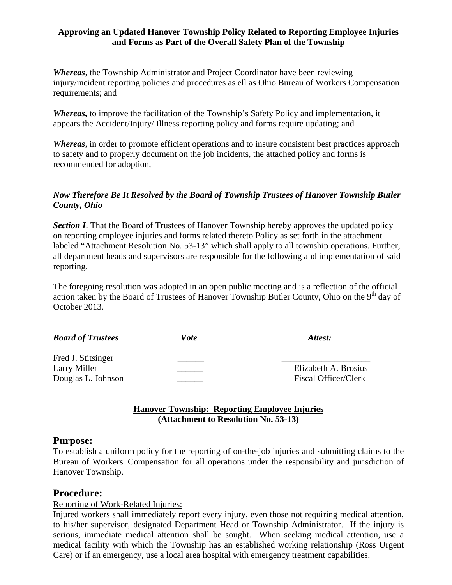## **Approving an Updated Hanover Township Policy Related to Reporting Employee Injuries and Forms as Part of the Overall Safety Plan of the Township**

*Whereas*, the Township Administrator and Project Coordinator have been reviewing injury/incident reporting policies and procedures as ell as Ohio Bureau of Workers Compensation requirements; and

*Whereas,* to improve the facilitation of the Township's Safety Policy and implementation, it appears the Accident/Injury/ Illness reporting policy and forms require updating; and

*Whereas*, in order to promote efficient operations and to insure consistent best practices approach to safety and to properly document on the job incidents, the attached policy and forms is recommended for adoption,

# *Now Therefore Be It Resolved by the Board of Township Trustees of Hanover Township Butler County, Ohio*

**Section I**. That the Board of Trustees of Hanover Township hereby approves the updated policy on reporting employee injuries and forms related thereto Policy as set forth in the attachment labeled "Attachment Resolution No. 53-13" which shall apply to all township operations. Further, all department heads and supervisors are responsible for the following and implementation of said reporting.

The foregoing resolution was adopted in an open public meeting and is a reflection of the official action taken by the Board of Trustees of Hanover Township Butler County, Ohio on the  $9<sup>th</sup>$  day of October 2013.

| <b>Board of Trustees</b>                                 | Vote | Attest:                                             |  |
|----------------------------------------------------------|------|-----------------------------------------------------|--|
| Fred J. Stitsinger<br>Larry Miller<br>Douglas L. Johnson |      | Elizabeth A. Brosius<br><b>Fiscal Officer/Clerk</b> |  |

## **Hanover Township: Reporting Employee Injuries (Attachment to Resolution No. 53-13)**

# **Purpose:**

To establish a uniform policy for the reporting of on-the-job injuries and submitting claims to the Bureau of Workers' Compensation for all operations under the responsibility and jurisdiction of Hanover Township.

# **Procedure:**

# Reporting of Work-Related Injuries:

Injured workers shall immediately report every injury, even those not requiring medical attention, to his/her supervisor, designated Department Head or Township Administrator. If the injury is serious, immediate medical attention shall be sought. When seeking medical attention, use a medical facility with which the Township has an established working relationship (Ross Urgent Care) or if an emergency, use a local area hospital with emergency treatment capabilities.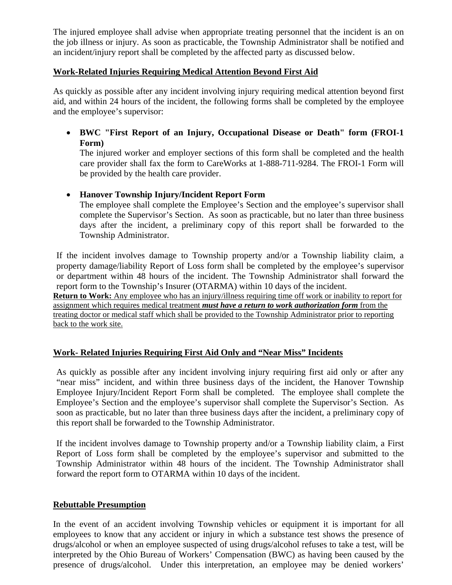The injured employee shall advise when appropriate treating personnel that the incident is an on the job illness or injury. As soon as practicable, the Township Administrator shall be notified and an incident/injury report shall be completed by the affected party as discussed below.

## **Work-Related Injuries Requiring Medical Attention Beyond First Aid**

As quickly as possible after any incident involving injury requiring medical attention beyond first aid, and within 24 hours of the incident, the following forms shall be completed by the employee and the employee's supervisor:

 **BWC "First Report of an Injury, Occupational Disease or Death" form (FROI-1 Form)** 

The injured worker and employer sections of this form shall be completed and the health care provider shall fax the form to CareWorks at 1-888-711-9284. The FROI-1 Form will be provided by the health care provider.

## **Hanover Township Injury/Incident Report Form**

The employee shall complete the Employee's Section and the employee's supervisor shall complete the Supervisor's Section. As soon as practicable, but no later than three business days after the incident, a preliminary copy of this report shall be forwarded to the Township Administrator.

If the incident involves damage to Township property and/or a Township liability claim, a property damage/liability Report of Loss form shall be completed by the employee's supervisor or department within 48 hours of the incident. The Township Administrator shall forward the report form to the Township's Insurer (OTARMA) within 10 days of the incident.

**Return to Work:** Any employee who has an injury/illness requiring time off work or inability to report for assignment which requires medical treatment *must have a return to work authorization form* from the treating doctor or medical staff which shall be provided to the Township Administrator prior to reporting back to the work site.

# **Work- Related Injuries Requiring First Aid Only and "Near Miss" Incidents**

As quickly as possible after any incident involving injury requiring first aid only or after any "near miss" incident, and within three business days of the incident, the Hanover Township Employee Injury/Incident Report Form shall be completed. The employee shall complete the Employee's Section and the employee's supervisor shall complete the Supervisor's Section. As soon as practicable, but no later than three business days after the incident, a preliminary copy of this report shall be forwarded to the Township Administrator.

If the incident involves damage to Township property and/or a Township liability claim, a First Report of Loss form shall be completed by the employee's supervisor and submitted to the Township Administrator within 48 hours of the incident. The Township Administrator shall forward the report form to OTARMA within 10 days of the incident.

## **Rebuttable Presumption**

In the event of an accident involving Township vehicles or equipment it is important for all employees to know that any accident or injury in which a substance test shows the presence of drugs/alcohol or when an employee suspected of using drugs/alcohol refuses to take a test, will be interpreted by the Ohio Bureau of Workers' Compensation (BWC) as having been caused by the presence of drugs/alcohol. Under this interpretation, an employee may be denied workers'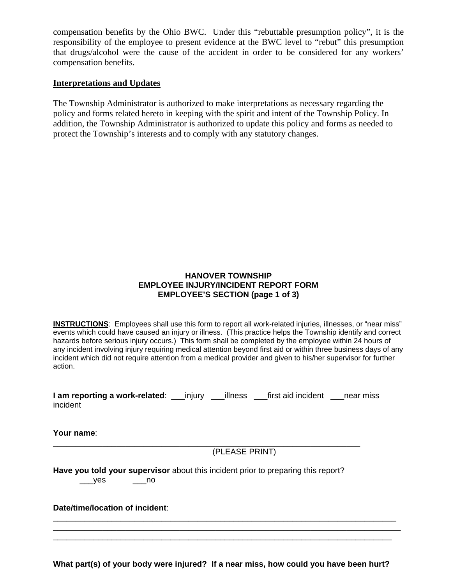compensation benefits by the Ohio BWC. Under this "rebuttable presumption policy", it is the responsibility of the employee to present evidence at the BWC level to "rebut" this presumption that drugs/alcohol were the cause of the accident in order to be considered for any workers' compensation benefits.

### **Interpretations and Updates**

The Township Administrator is authorized to make interpretations as necessary regarding the policy and forms related hereto in keeping with the spirit and intent of the Township Policy. In addition, the Township Administrator is authorized to update this policy and forms as needed to protect the Township's interests and to comply with any statutory changes.

## **HANOVER TOWNSHIP EMPLOYEE INJURY/INCIDENT REPORT FORM EMPLOYEE'S SECTION (page 1 of 3)**

**INSTRUCTIONS**: Employees shall use this form to report all work-related injuries, illnesses, or "near miss" events which could have caused an injury or illness. (This practice helps the Township identify and correct hazards before serious injury occurs.) This form shall be completed by the employee within 24 hours of any incident involving injury requiring medical attention beyond first aid or within three business days of any incident which did not require attention from a medical provider and given to his/her supervisor for further action.

| I am reporting a work-related: |  | ___injury ___illness __first aid incident | near miss |
|--------------------------------|--|-------------------------------------------|-----------|
| incident                       |  |                                           |           |

**Your name**:

\_\_\_\_\_\_\_\_\_\_\_\_\_\_\_\_\_\_\_\_\_\_\_\_\_\_\_\_\_\_\_\_\_\_\_\_\_\_\_\_\_\_\_\_\_\_\_\_\_\_\_\_\_\_\_\_\_\_\_\_\_\_\_\_\_\_\_\_ (PLEASE PRINT)

**Have you told your supervisor** about this incident prior to preparing this report?  $\rule{1em}{0.15mm}$  yes  $\rule{1em}{0.15mm}$  no

**Date/time/location of incident**:

**What part(s) of your body were injured? If a near miss, how could you have been hurt?** 

\_\_\_\_\_\_\_\_\_\_\_\_\_\_\_\_\_\_\_\_\_\_\_\_\_\_\_\_\_\_\_\_\_\_\_\_\_\_\_\_\_\_\_\_\_\_\_\_\_\_\_\_\_\_\_\_\_\_\_\_\_\_\_\_\_\_\_\_\_\_\_\_\_\_\_\_ \_\_\_\_\_\_\_\_\_\_\_\_\_\_\_\_\_\_\_\_\_\_\_\_\_\_\_\_\_\_\_\_\_\_\_\_\_\_\_\_\_\_\_\_\_\_\_\_\_\_\_\_\_\_\_\_\_\_\_\_\_\_\_\_\_\_\_\_\_\_\_\_\_\_\_\_\_ \_\_\_\_\_\_\_\_\_\_\_\_\_\_\_\_\_\_\_\_\_\_\_\_\_\_\_\_\_\_\_\_\_\_\_\_\_\_\_\_\_\_\_\_\_\_\_\_\_\_\_\_\_\_\_\_\_\_\_\_\_\_\_\_\_\_\_\_\_\_\_\_\_\_\_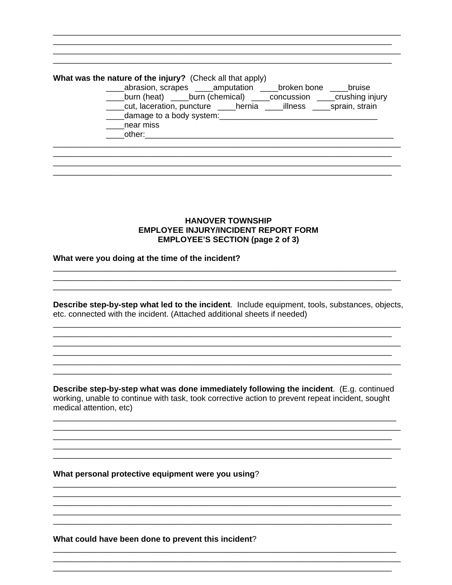# What was the nature of the injury? (Check all that apply) \_\_\_\_abrasion, scrapes \_\_\_\_amputation \_\_\_\_broken bone \_\_\_\_bruise

\_\_\_\_burn (heat) \_\_\_\_burn (chemical) \_\_\_\_concussion \_\_\_\_crushing injury \_\_\_cut, laceration, puncture \_\_\_\_hernia \_\_\_illness \_\_\_\_sprain, strain

- damage to a body system:
- \_\_\_near miss
- other:

### **HANOVER TOWNSHIP EMPLOYEE INJURY/INCIDENT REPORT FORM EMPLOYEE'S SECTION (page 2 of 3)**

### What were you doing at the time of the incident?

Describe step-by-step what led to the incident. Include equipment, tools, substances, objects, etc. connected with the incident. (Attached additional sheets if needed)

<u> 1989 - Johann John Stoff, deutscher Stoffen und der Stoffen und der Stoffen und der Stoffen und der Stoffen</u>

Describe step-by-step what was done immediately following the incident. (E.g. continued working, unable to continue with task, took corrective action to prevent repeat incident, sought medical attention, etc)

### What personal protective equipment were you using?

What could have been done to prevent this incident?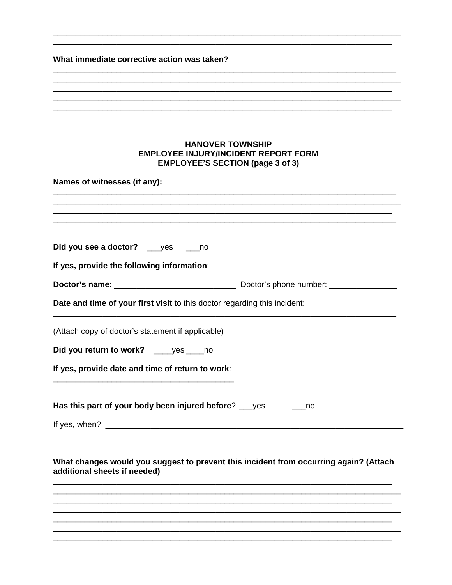# What immediate corrective action was taken?

|                                            | <b>HANOVER TOWNSHIP</b><br><b>EMPLOYEE INJURY/INCIDENT REPORT FORM</b>                |
|--------------------------------------------|---------------------------------------------------------------------------------------|
|                                            | <b>EMPLOYEE'S SECTION (page 3 of 3)</b>                                               |
| Names of witnesses (if any):               |                                                                                       |
|                                            |                                                                                       |
|                                            |                                                                                       |
| Did you see a doctor? ____ yes ____ no     |                                                                                       |
| If yes, provide the following information: |                                                                                       |
|                                            |                                                                                       |
|                                            | Date and time of your first visit to this doctor regarding this incident:             |
|                                            | (Attach copy of doctor's statement if applicable)                                     |
| Did you return to work? _____ yes _____ no |                                                                                       |
|                                            | If yes, provide date and time of return to work:                                      |
|                                            |                                                                                       |
|                                            | Has this part of your body been injured before? ___ yes<br>no                         |
|                                            |                                                                                       |
|                                            |                                                                                       |
|                                            | What changes would you suggest to prevent this incident from occurring again? (Attach |
| additional sheets if needed)               |                                                                                       |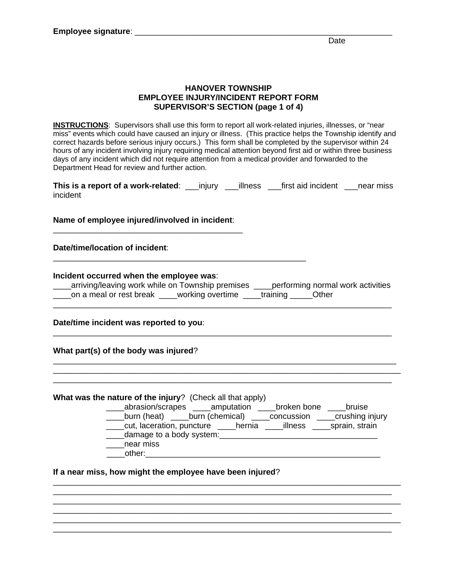### **HANOVER TOWNSHIP EMPLOYEE INJURY/INCIDENT REPORT FORM SUPERVISOR'S SECTION (page 1 of 4)**

**INSTRUCTIONS**: Supervisors shall use this form to report all work-related injuries, illnesses, or "near miss" events which could have caused an injury or illness. (This practice helps the Township identify and correct hazards before serious injury occurs.) This form shall be completed by the supervisor within 24 hours of any incident involving injury requiring medical attention beyond first aid or within three business days of any incident which did not require attention from a medical provider and forwarded to the Department Head for review and further action.

| This is a report of a work-related: _____ injury _____ illness |  | __first aid incident ___near miss |  |
|----------------------------------------------------------------|--|-----------------------------------|--|
| incident                                                       |  |                                   |  |

### **Name of employee injured/involved in incident**: \_\_\_\_\_\_\_\_\_\_\_\_\_\_\_\_\_\_\_\_\_\_\_\_\_\_\_\_\_\_\_\_\_\_\_\_\_\_\_\_\_\_

#### **Date/time/location of incident**:

#### **Incident occurred when the employee was**:

| arriving/leaving work while on Township premises |                                          | _performing normal work activities |
|--------------------------------------------------|------------------------------------------|------------------------------------|
| ____on a meal or rest break                      | working overtime ____training _____Other |                                    |
|                                                  |                                          |                                    |

**Date/time incident was reported to you**:

**What part(s) of the body was injured**?

**What was the nature of the injury**? (Check all that apply)

 \_\_\_\_abrasion/scrapes \_\_\_\_amputation \_\_\_\_broken bone \_\_\_\_bruise \_\_\_\_burn (heat) \_\_\_\_burn (chemical) \_\_\_\_concussion \_\_\_\_crushing injury \_\_\_\_cut, laceration, puncture \_\_\_\_hernia \_\_\_\_illness \_\_\_\_sprain, strain

\_\_\_\_\_\_\_\_\_\_\_\_\_\_\_\_\_\_\_\_\_\_\_\_\_\_\_\_\_\_\_\_\_\_\_\_\_\_\_\_\_\_\_\_\_\_\_\_\_\_\_\_\_\_\_\_\_\_\_\_\_\_\_\_\_\_\_\_\_\_\_\_\_\_\_\_\_

\_\_\_\_\_\_\_\_\_\_\_\_\_\_\_\_\_\_\_\_\_\_\_\_\_\_\_\_\_\_\_\_\_\_\_\_\_\_\_\_\_\_\_\_\_\_\_\_\_\_\_\_\_\_\_\_\_\_\_\_\_\_\_\_\_\_\_\_\_\_\_\_\_\_\_

\_\_\_\_\_\_\_\_\_\_\_\_\_\_\_\_\_\_\_\_\_\_\_\_\_\_\_\_\_\_\_\_\_\_\_\_\_\_\_\_\_\_\_\_\_\_\_\_\_\_\_\_\_\_\_\_\_\_\_\_\_\_\_\_\_\_\_\_\_\_\_\_\_\_\_\_\_

\_\_\_\_\_\_\_\_\_\_\_\_\_\_\_\_\_\_\_\_\_\_\_\_\_\_\_\_\_\_\_\_\_\_\_\_\_\_\_\_\_\_\_\_\_\_\_\_\_\_\_\_\_\_\_\_\_\_\_\_\_\_\_\_\_\_\_\_\_\_\_\_\_\_\_\_

- 
- \_\_\_\_damage to a body system:\_\_\_\_\_\_\_\_\_\_\_\_\_\_\_\_\_\_\_\_\_\_\_\_\_\_\_\_\_\_\_\_\_\_\_

\_\_\_\_\_\_\_\_\_\_\_\_\_\_\_\_\_\_\_\_\_\_\_\_\_\_\_\_\_\_\_\_\_\_\_\_\_\_\_\_\_\_\_\_\_\_\_\_\_\_\_\_\_\_\_\_

\_\_\_\_\_\_\_\_\_\_\_\_\_\_\_\_\_\_\_\_\_\_\_\_\_\_\_\_\_\_\_\_\_\_\_\_\_\_\_\_\_\_\_\_\_\_\_\_\_\_\_\_\_\_\_\_\_\_\_\_\_\_\_\_\_\_\_\_\_\_\_\_\_\_\_

 \_\_\_\_near miss \_\_\_\_other:\_\_\_\_\_\_\_\_\_\_\_\_\_\_\_\_\_\_\_\_\_\_\_\_\_\_\_\_\_\_\_\_\_\_\_\_\_\_\_\_\_\_\_\_\_\_\_\_\_\_\_\_

**If a near miss, how might the employee have been injured**?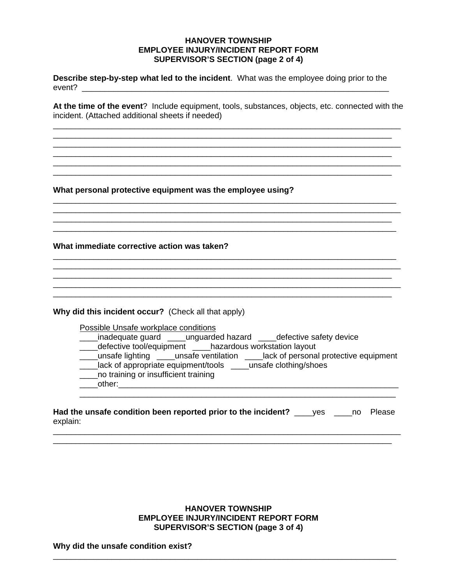### **HANOVER TOWNSHIP EMPLOYEE INJURY/INCIDENT REPORT FORM SUPERVISOR'S SECTION (page 2 of 4)**

**Describe step-by-step what led to the incident**. What was the employee doing prior to the event? \_\_\_\_\_\_\_\_\_\_\_\_\_\_\_\_\_\_\_\_\_\_\_\_\_\_\_\_\_\_\_\_\_\_\_\_\_\_\_\_\_\_\_\_\_\_\_\_\_\_\_\_\_\_\_\_\_\_\_\_\_\_\_\_\_\_\_\_

**At the time of the event**? Include equipment, tools, substances, objects, etc. connected with the incident. (Attached additional sheets if needed)

\_\_\_\_\_\_\_\_\_\_\_\_\_\_\_\_\_\_\_\_\_\_\_\_\_\_\_\_\_\_\_\_\_\_\_\_\_\_\_\_\_\_\_\_\_\_\_\_\_\_\_\_\_\_\_\_\_\_\_\_\_\_\_\_\_\_\_\_\_\_\_\_\_\_\_\_\_ \_\_\_\_\_\_\_\_\_\_\_\_\_\_\_\_\_\_\_\_\_\_\_\_\_\_\_\_\_\_\_\_\_\_\_\_\_\_\_\_\_\_\_\_\_\_\_\_\_\_\_\_\_\_\_\_\_\_\_\_\_\_\_\_\_\_\_\_\_\_\_\_\_\_\_

\_\_\_\_\_\_\_\_\_\_\_\_\_\_\_\_\_\_\_\_\_\_\_\_\_\_\_\_\_\_\_\_\_\_\_\_\_\_\_\_\_\_\_\_\_\_\_\_\_\_\_\_\_\_\_\_\_\_\_\_\_\_\_\_\_\_\_\_\_\_\_\_\_\_\_

\_\_\_\_\_\_\_\_\_\_\_\_\_\_\_\_\_\_\_\_\_\_\_\_\_\_\_\_\_\_\_\_\_\_\_\_\_\_\_\_\_\_\_\_\_\_\_\_\_\_\_\_\_\_\_\_\_\_\_\_\_\_\_\_\_\_\_\_\_\_\_\_\_\_\_

\_\_\_\_\_\_\_\_\_\_\_\_\_\_\_\_\_\_\_\_\_\_\_\_\_\_\_\_\_\_\_\_\_\_\_\_\_\_\_\_\_\_\_\_\_\_\_\_\_\_\_\_\_\_\_\_\_\_\_\_\_\_\_\_\_\_\_\_\_\_\_\_\_\_\_\_

\_\_\_\_\_\_\_\_\_\_\_\_\_\_\_\_\_\_\_\_\_\_\_\_\_\_\_\_\_\_\_\_\_\_\_\_\_\_\_\_\_\_\_\_\_\_\_\_\_\_\_\_\_\_\_\_\_\_\_\_\_\_\_\_\_\_\_\_\_\_\_\_\_\_\_ \_\_\_\_\_\_\_\_\_\_\_\_\_\_\_\_\_\_\_\_\_\_\_\_\_\_\_\_\_\_\_\_\_\_\_\_\_\_\_\_\_\_\_\_\_\_\_\_\_\_\_\_\_\_\_\_\_\_\_\_\_\_\_\_\_\_\_\_\_\_\_\_\_\_\_\_

\_\_\_\_\_\_\_\_\_\_\_\_\_\_\_\_\_\_\_\_\_\_\_\_\_\_\_\_\_\_\_\_\_\_\_\_\_\_\_\_\_\_\_\_\_\_\_\_\_\_\_\_\_\_\_\_\_\_\_\_\_\_\_\_\_\_\_\_\_\_\_\_\_\_\_\_\_

\_\_\_\_\_\_\_\_\_\_\_\_\_\_\_\_\_\_\_\_\_\_\_\_\_\_\_\_\_\_\_\_\_\_\_\_\_\_\_\_\_\_\_\_\_\_\_\_\_\_\_\_\_\_\_\_\_\_\_\_\_\_\_\_\_\_\_\_\_\_\_\_\_\_\_

**What personal protective equipment was the employee using?**

**What immediate corrective action was taken?** \_\_\_\_\_\_\_\_\_\_\_\_\_\_\_\_\_\_\_\_\_\_\_\_\_\_\_\_\_\_\_\_\_\_\_\_\_\_\_\_\_\_\_\_\_\_\_\_\_\_\_\_\_\_\_\_\_\_\_\_\_\_\_\_\_\_\_\_\_\_\_\_\_\_\_\_

**Why did this incident occur?** (Check all that apply)

Possible Unsafe workplace conditions

- \_\_\_inadequate guard \_\_\_\_unguarded hazard \_\_\_\_defective safety device
- \_\_\_\_defective tool/equipment \_\_\_\_hazardous workstation layout

\_\_\_\_unsafe lighting \_\_\_\_unsafe ventilation \_\_\_\_lack of personal protective equipment

- \_\_\_\_lack of appropriate equipment/tools \_\_\_\_unsafe clothing/shoes
- \_\_\_\_no training or insufficient training

\_\_\_\_other:\_\_\_\_\_\_\_\_\_\_\_\_\_\_\_\_\_\_\_\_\_\_\_\_\_\_\_\_\_\_\_\_\_\_\_\_\_\_\_\_\_\_\_\_\_\_\_\_\_\_\_\_\_\_\_\_\_\_\_\_\_\_

**Had the unsafe condition been reported prior to the incident?** ves no Please explain:

\_\_\_\_\_\_\_\_\_\_\_\_\_\_\_\_\_\_\_\_\_\_\_\_\_\_\_\_\_\_\_\_\_\_\_\_\_\_\_\_\_\_\_\_\_\_\_\_\_\_\_\_\_\_\_\_\_\_\_\_\_\_\_\_\_\_\_\_\_\_\_\_\_\_\_\_\_

\_\_\_\_\_\_\_\_\_\_\_\_\_\_\_\_\_\_\_\_\_\_\_\_\_\_\_\_\_\_\_\_\_\_\_\_\_\_\_\_\_\_\_\_\_\_\_\_\_\_\_\_\_\_\_\_\_\_\_\_\_\_\_\_\_\_\_\_\_\_

## **HANOVER TOWNSHIP EMPLOYEE INJURY/INCIDENT REPORT FORM SUPERVISOR'S SECTION (page 3 of 4)**

\_\_\_\_\_\_\_\_\_\_\_\_\_\_\_\_\_\_\_\_\_\_\_\_\_\_\_\_\_\_\_\_\_\_\_\_\_\_\_\_\_\_\_\_\_\_\_\_\_\_\_\_\_\_\_\_\_\_\_\_\_\_\_\_\_\_\_\_\_\_\_\_\_\_\_\_

**Why did the unsafe condition exist?**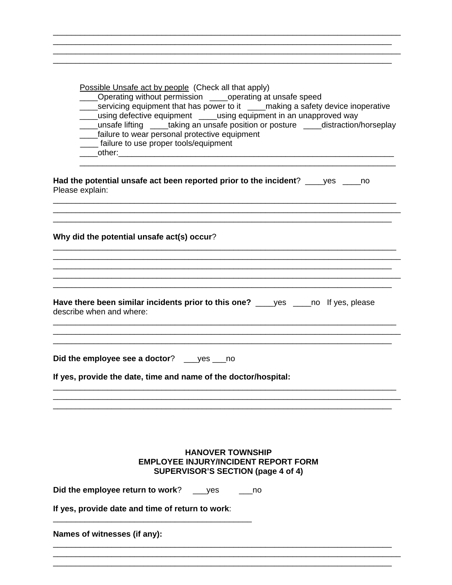| Possible Unsafe act by people (Check all that apply)<br>Operating without permission ____operating at unsafe speed<br>____servicing equipment that has power to it ____making a safety device inoperative<br>___using defective equipment ____using equipment in an unapproved way<br>___unsafe lifting ____taking an unsafe position or posture ____distraction/horseplay<br>_____failure to wear personal protective equipment<br>____ failure to use proper tools/equipment |
|--------------------------------------------------------------------------------------------------------------------------------------------------------------------------------------------------------------------------------------------------------------------------------------------------------------------------------------------------------------------------------------------------------------------------------------------------------------------------------|
| Had the potential unsafe act been reported prior to the incident? ____yes _____no<br>Please explain:                                                                                                                                                                                                                                                                                                                                                                           |
| Why did the potential unsafe act(s) occur?                                                                                                                                                                                                                                                                                                                                                                                                                                     |
|                                                                                                                                                                                                                                                                                                                                                                                                                                                                                |
|                                                                                                                                                                                                                                                                                                                                                                                                                                                                                |
| Have there been similar incidents prior to this one? ____yes ____no If yes, please<br>describe when and where:                                                                                                                                                                                                                                                                                                                                                                 |
| Did the employee see a doctor? ____ yes ____ no                                                                                                                                                                                                                                                                                                                                                                                                                                |
| If yes, provide the date, time and name of the doctor/hospital:                                                                                                                                                                                                                                                                                                                                                                                                                |
|                                                                                                                                                                                                                                                                                                                                                                                                                                                                                |
| <b>HANOVER TOWNSHIP</b><br><b>EMPLOYEE INJURY/INCIDENT REPORT FORM</b><br>SUPERVISOR'S SECTION (page 4 of 4)                                                                                                                                                                                                                                                                                                                                                                   |
| Did the employee return to work?<br>yes<br>$\overline{\phantom{0}}$ no                                                                                                                                                                                                                                                                                                                                                                                                         |
| If yes, provide date and time of return to work:                                                                                                                                                                                                                                                                                                                                                                                                                               |
| Names of witnesses (if any):                                                                                                                                                                                                                                                                                                                                                                                                                                                   |
|                                                                                                                                                                                                                                                                                                                                                                                                                                                                                |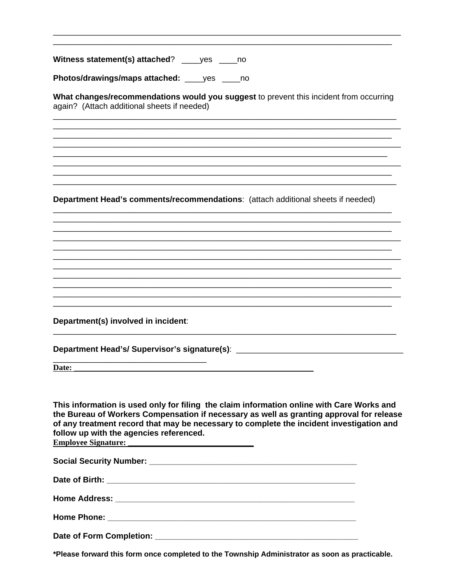Witness statement(s) attached? \_\_\_\_\_ yes \_\_\_\_\_ no

Photos/drawings/maps attached: \_\_\_\_yes \_\_\_\_no

What changes/recommendations would you suggest to prevent this incident from occurring again? (Attach additional sheets if needed)

Department Head's comments/recommendations: (attach additional sheets if needed)

Department(s) involved in incident:

Department Head's/ Supervisor's signature(s): \_\_\_\_\_\_\_\_\_\_\_\_\_\_\_\_\_\_\_\_\_\_\_\_\_\_\_\_\_\_\_\_\_\_

Date: the contract of the contract of the contract of the contract of the contract of the contract of the contract of the contract of the contract of the contract of the contract of the contract of the contract of the cont

This information is used only for filing the claim information online with Care Works and the Bureau of Workers Compensation if necessary as well as granting approval for release of any treatment record that may be necessary to complete the incident investigation and follow up with the agencies referenced.

**Employee Signature:** 

Date of Birth: The Contract of Security and Security and Security and Security and Security and Security and Security and Security and Security and Security and Security and Security and Security and Security and Security

**Home Address:** the contract of the contract of the contract of the contract of the contract of the contract of the contract of the contract of the contract of the contract of the contract of the contract of the contract o

Date of Form Completion: Note that the control of the control of the control of the control of the control of the control of the control of the control of the control of the control of the control of the control of the con

\*Please forward this form once completed to the Township Administrator as soon as practicable.